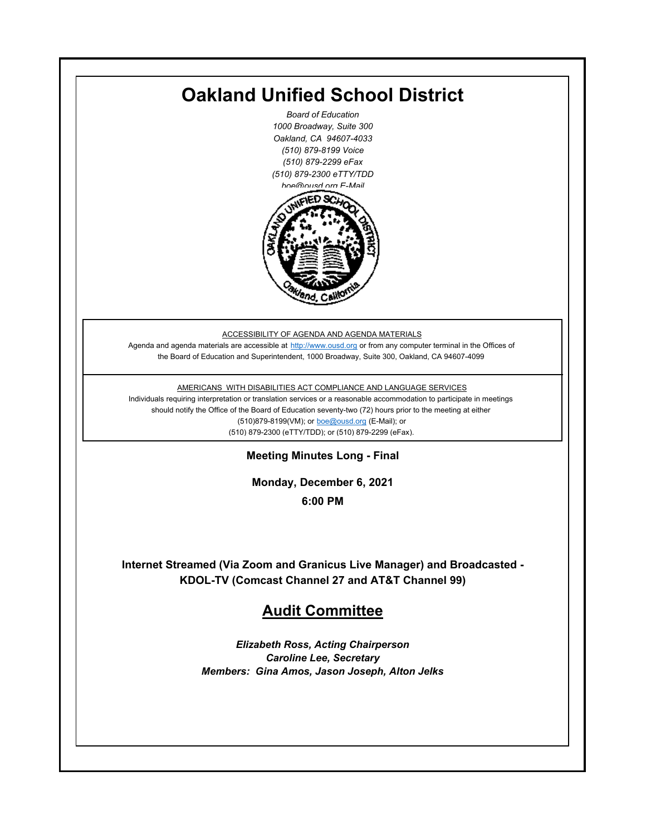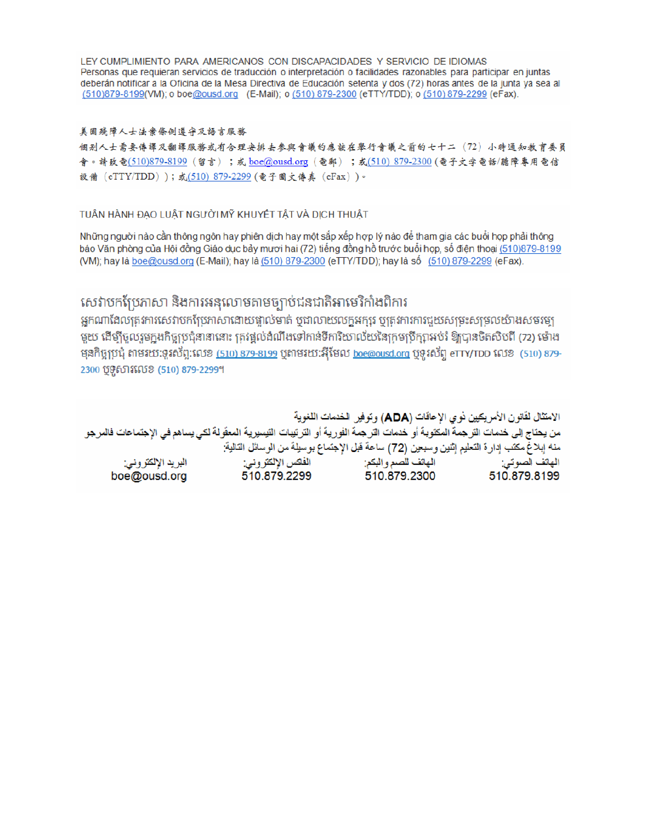LEY CUMPLIMIENTO PARA AMERICANOS CON DISCAPACIDADES Y SERVICIO DE IDIOMAS Personas que requieran servicios de traducción o interpretación o facilidades razonables para participar en juntas deberán notificar a la Oficina de la Mesa Directiva de Educación setenta y dos (72) horas antes de la junta ya sea al (510)879-8199(VM); o boe@ousd.org (E-Mail); o (510) 879-2300 (eTTY/TDD); o (510) 879-2299 (eFax).

#### 美国残障人士法案條例遵守及語言服務

個别人士需要傳譯及翻譯服務或有合理安排去參與會議的應該在舉行會議之前的七十二 (72) 小時通知教育委員 會。請致電(510)879-8199(留言);或 boe@ousd.org (電郵) ;或(510) 879-2300 (電子文字電話/聽障專用電信 設備 (eTTY/TDD));或(510) 879-2299 (電子圖文傳真 (eFax))。

#### TUÂN HÀNH ĐẠO LUẬT NGƯỜI MỸ KHUYẾT TẤT VÀ DỊCH THUẬT

Những người nào cần thông ngôn hay phiên dịch hay một sắp xếp hợp lý nào để tham gia các buổi họp phải thông báo Văn phòng của Hội đồng Giáo dục bảy mươi hai (72) tiếng đồng hồ trước buổi họp, số điện thoại (510)879-8199 (VM); hay là boe@ousd.org (E-Mail); hay là (510) 879-2300 (eTTY/TDD); hay là số (510) 879-2299 (eFax).

## សេវាបកប្រែភាសា និងការអនុលោមតាមច្បាប់ជនជាតិអាមេរិកាំងពិការ

អកណាដែលតេវការសេវាបកប្រែភាសាដោយផ្ទាល់មាត់ ឬជាលាយលក្ខអក្សរ ឬត្រូវការការជួយសម្រះសម្រលយ៉ាងសមរម្យ មយ ដើម្បីចលរមកងកិច្ចប្រជុំនានានោះ ត្រូវផ្តល់ដំណឹងទៅកាន់ទីការិយាល័យនៃក្រមប្រឹក្សាអប់រំ ឱ្យបានចិតសិបពី (72) ម៉ោង ម្មនកិច្ចប្រជុំ តាមរយៈទូរស័ព្ទ:លេខ (<u>510) 879-8199</u> បុតាមរយៈអ៊ីមែល <u>boe@ousd.org</u> បុទ្**រ**ស័ព្ទ eTTY/TDD លេខ (510) 879-2300 ប៊ូទ្មិសារលេខ (510) 879-2299។

الامتثال لقانون الأمريكيين نو ي الإعاقات (ADA) وتوفير الخدمات اللغوية من يحتاج إلى خدمات التر جمة المكتوبة أو خدمات التر جمة الفورية أو الترتيبات التيسيرية المعفّولة لكي يساهم في الإجتماعات فالمرجو منه إبلاغ مكتب إدارة التعليم إثنين وسبعين (72) ساعة قبل الإجتماع بوسيلة من الوسائل التالية: البريد الإلكتروني: 510.879.2299 boe@ousd.org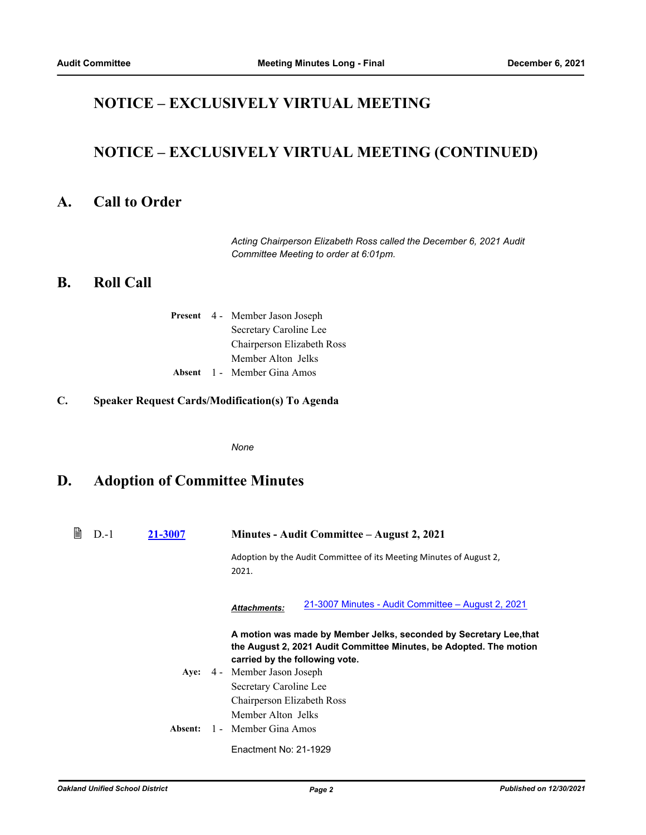## **NOTICE – EXCLUSIVELY VIRTUAL MEETING**

# **NOTICE – EXCLUSIVELY VIRTUAL MEETING (CONTINUED)**

### **A. Call to Order**

*Acting Chairperson Elizabeth Ross called the December 6, 2021 Audit Committee Meeting to order at 6:01pm.*

#### **B. Roll Call**

|  | <b>Present</b> 4 - Member Jason Joseph |
|--|----------------------------------------|
|  | Secretary Caroline Lee                 |
|  | Chairperson Elizabeth Ross             |
|  | Member Alton Jelks                     |
|  | <b>Absent</b> 1 - Member Gina Amos     |

#### **C. Speaker Request Cards/Modification(s) To Agenda**

*None*

## **D. Adoption of Committee Minutes**

| 閶 | $D-1$ | 21-3007 | Minutes - Audit Committee – August 2, 2021                                                                                                                                 |
|---|-------|---------|----------------------------------------------------------------------------------------------------------------------------------------------------------------------------|
|   |       |         | Adoption by the Audit Committee of its Meeting Minutes of August 2,<br>2021.                                                                                               |
|   |       |         | 21-3007 Minutes - Audit Committee – August 2, 2021<br><b>Attachments:</b>                                                                                                  |
|   |       |         | A motion was made by Member Jelks, seconded by Secretary Lee, that<br>the August 2, 2021 Audit Committee Minutes, be Adopted. The motion<br>carried by the following vote. |
|   |       |         | Aye: 4 - Member Jason Joseph                                                                                                                                               |
|   |       |         | Secretary Caroline Lee                                                                                                                                                     |
|   |       |         | Chairperson Elizabeth Ross                                                                                                                                                 |
|   |       |         | Member Alton Jelks                                                                                                                                                         |
|   |       | Absent: | 1 - Member Gina Amos                                                                                                                                                       |
|   |       |         | Enactment No: 21-1929                                                                                                                                                      |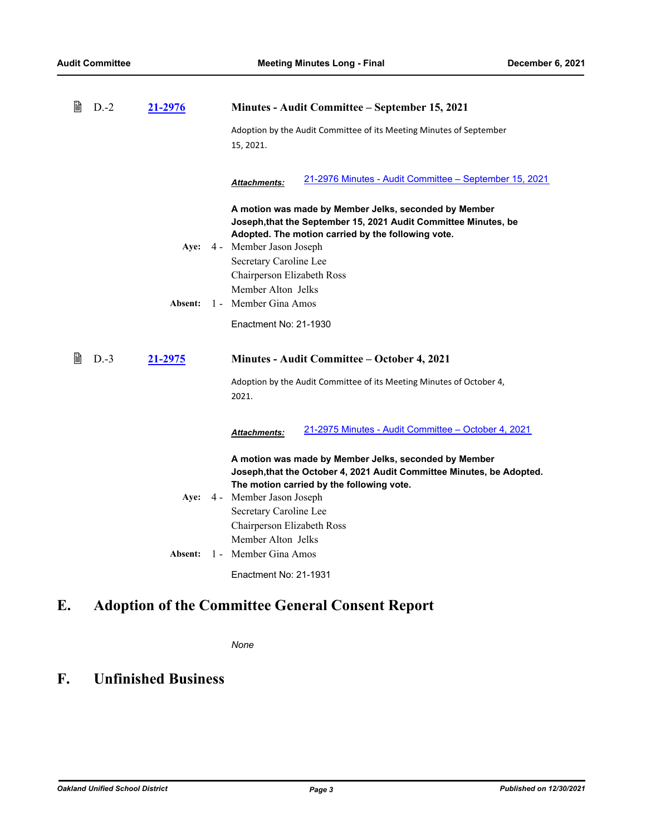| 閶 | $D-2$  | 21-2976 | Minutes - Audit Committee – September 15, 2021                                                                                                                                 |
|---|--------|---------|--------------------------------------------------------------------------------------------------------------------------------------------------------------------------------|
|   |        |         | Adoption by the Audit Committee of its Meeting Minutes of September<br>15, 2021.                                                                                               |
|   |        |         | 21-2976 Minutes - Audit Committee - September 15, 2021<br><u> Attachments:</u>                                                                                                 |
|   |        |         | A motion was made by Member Jelks, seconded by Member<br>Joseph, that the September 15, 2021 Audit Committee Minutes, be<br>Adopted. The motion carried by the following vote. |
|   |        | Aye:    | 4 - Member Jason Joseph                                                                                                                                                        |
|   |        |         | Secretary Caroline Lee<br>Chairperson Elizabeth Ross                                                                                                                           |
|   |        |         | Member Alton Jelks                                                                                                                                                             |
|   |        | Absent: | 1 - Member Gina Amos                                                                                                                                                           |
|   |        |         | Enactment No: 21-1930                                                                                                                                                          |
|   |        |         |                                                                                                                                                                                |
| 閶 | $D.-3$ | 21-2975 | Minutes - Audit Committee - October 4, 2021                                                                                                                                    |
|   |        |         | Adoption by the Audit Committee of its Meeting Minutes of October 4,<br>2021.                                                                                                  |
|   |        |         | 21-2975 Minutes - Audit Committee - October 4, 2021<br>Attachments:                                                                                                            |
|   |        |         | A motion was made by Member Jelks, seconded by Member<br>Joseph, that the October 4, 2021 Audit Committee Minutes, be Adopted.                                                 |
|   |        | Aye:    | The motion carried by the following vote.<br>4 - Member Jason Joseph                                                                                                           |
|   |        |         | Secretary Caroline Lee                                                                                                                                                         |
|   |        |         | Chairperson Elizabeth Ross                                                                                                                                                     |
|   |        |         | Member Alton Jelks                                                                                                                                                             |
|   |        | Absent: | 1 - Member Gina Amos<br>Enactment No: 21-1931                                                                                                                                  |

# **E. Adoption of the Committee General Consent Report**

*None*

## **F. Unfinished Business**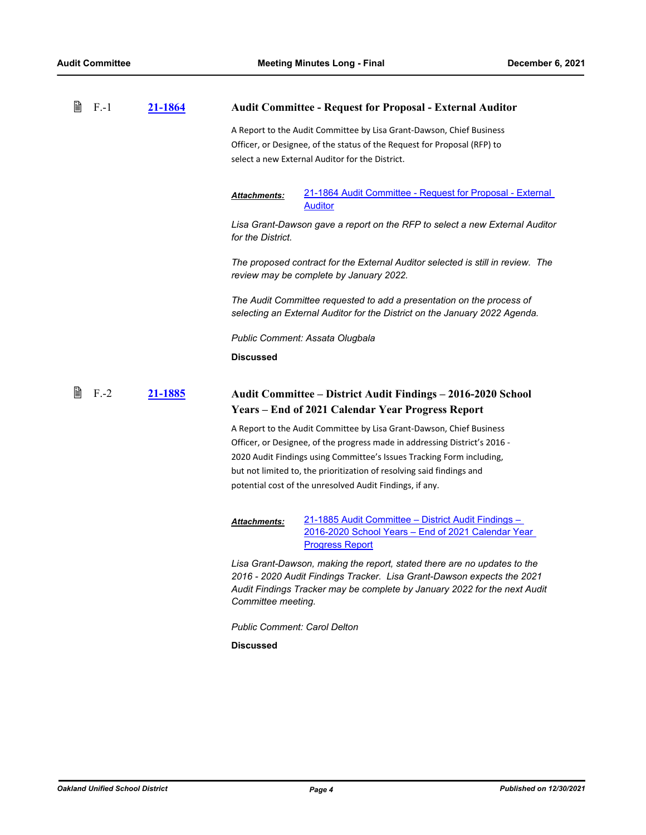| 閶 | $F-1$   | <u>21-1864</u> | <b>Audit Committee - Request for Proposal - External Auditor</b>                                                                                                                                                                                      |
|---|---------|----------------|-------------------------------------------------------------------------------------------------------------------------------------------------------------------------------------------------------------------------------------------------------|
|   |         |                | A Report to the Audit Committee by Lisa Grant-Dawson, Chief Business<br>Officer, or Designee, of the status of the Request for Proposal (RFP) to<br>select a new External Auditor for the District.                                                   |
|   |         |                | 21-1864 Audit Committee - Request for Proposal - External<br>Attachments:<br><b>Auditor</b>                                                                                                                                                           |
|   |         |                | Lisa Grant-Dawson gave a report on the RFP to select a new External Auditor<br>for the District.                                                                                                                                                      |
|   |         |                | The proposed contract for the External Auditor selected is still in review. The<br>review may be complete by January 2022.                                                                                                                            |
|   |         |                | The Audit Committee requested to add a presentation on the process of<br>selecting an External Auditor for the District on the January 2022 Agenda.                                                                                                   |
|   |         |                | Public Comment: Assata Olugbala                                                                                                                                                                                                                       |
|   |         |                | <b>Discussed</b>                                                                                                                                                                                                                                      |
|   |         |                |                                                                                                                                                                                                                                                       |
| 閶 | $F - 2$ | 21-1885        | Audit Committee – District Audit Findings – 2016-2020 School                                                                                                                                                                                          |
|   |         |                | Years – End of 2021 Calendar Year Progress Report                                                                                                                                                                                                     |
|   |         |                | A Report to the Audit Committee by Lisa Grant-Dawson, Chief Business                                                                                                                                                                                  |
|   |         |                | Officer, or Designee, of the progress made in addressing District's 2016 -                                                                                                                                                                            |
|   |         |                | 2020 Audit Findings using Committee's Issues Tracking Form including,                                                                                                                                                                                 |
|   |         |                | but not limited to, the prioritization of resolving said findings and                                                                                                                                                                                 |
|   |         |                | potential cost of the unresolved Audit Findings, if any.                                                                                                                                                                                              |
|   |         |                | 21-1885 Audit Committee - District Audit Findings -<br><b>Attachments:</b><br>2016-2020 School Years - End of 2021 Calendar Year<br><b>Progress Report</b>                                                                                            |
|   |         |                | Lisa Grant-Dawson, making the report, stated there are no updates to the<br>2016 - 2020 Audit Findings Tracker. Lisa Grant-Dawson expects the 2021<br>Audit Findings Tracker may be complete by January 2022 for the next Audit<br>Committee meeting. |
|   |         |                | <b>Public Comment: Carol Delton</b>                                                                                                                                                                                                                   |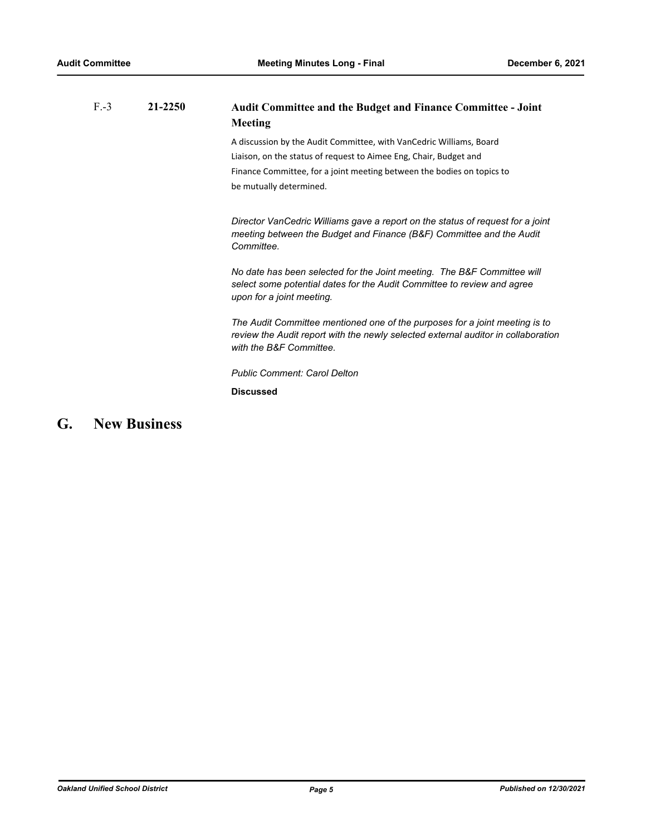| $F - 3$ | 21-2250 | <b>Audit Committee and the Budget and Finance Committee - Joint</b><br><b>Meeting</b>                                                                                                       |
|---------|---------|---------------------------------------------------------------------------------------------------------------------------------------------------------------------------------------------|
|         |         | A discussion by the Audit Committee, with VanCedric Williams, Board                                                                                                                         |
|         |         | Liaison, on the status of request to Aimee Eng, Chair, Budget and                                                                                                                           |
|         |         | Finance Committee, for a joint meeting between the bodies on topics to                                                                                                                      |
|         |         | be mutually determined.                                                                                                                                                                     |
|         |         | Director VanCedric Williams gave a report on the status of request for a joint<br>meeting between the Budget and Finance (B&F) Committee and the Audit<br>Committee.                        |
|         |         | No date has been selected for the Joint meeting. The B&F Committee will<br>select some potential dates for the Audit Committee to review and agree<br>upon for a joint meeting.             |
|         |         | The Audit Committee mentioned one of the purposes for a joint meeting is to<br>review the Audit report with the newly selected external auditor in collaboration<br>with the B&F Committee. |
|         |         | <b>Public Comment: Carol Delton</b>                                                                                                                                                         |
|         |         | <b>Discussed</b>                                                                                                                                                                            |
|         |         |                                                                                                                                                                                             |

# **G. New Business**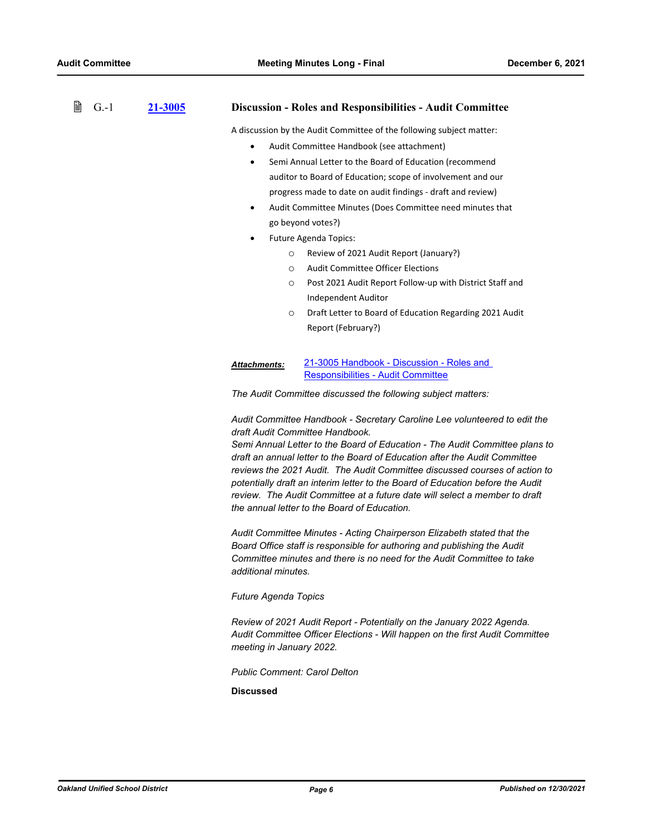#### 昏 G.-1 **[21-3005](http://ousd.legistar.com/gateway.aspx?m=l&id=/matter.aspx?key=54139) Discussion - Roles and Responsibilities - Audit Committee**

A discussion by the Audit Committee of the following subject matter:

- Audit Committee Handbook (see attachment)
- · Semi Annual Letter to the Board of Education (recommend auditor to Board of Education; scope of involvement and our progress made to date on audit findings - draft and review)
- Audit Committee Minutes (Does Committee need minutes that go beyond votes?)
- Future Agenda Topics:
	- o Review of 2021 Audit Report (January?)
	- o Audit Committee Officer Elections
	- o Post 2021 Audit Report Follow-up with District Staff and Independent Auditor
	- o Draft Letter to Board of Education Regarding 2021 Audit Report (February?)

[21-3005 Handbook - Discussion - Roles and](http://ousd.legistar.com/gateway.aspx?M=F&ID=101716.pdf)  Responsibilities - Audit Committee *Attachments:*

*The Audit Committee discussed the following subject matters:*

*Audit Committee Handbook - Secretary Caroline Lee volunteered to edit the draft Audit Committee Handbook.*

*Semi Annual Letter to the Board of Education - The Audit Committee plans to draft an annual letter to the Board of Education after the Audit Committee reviews the 2021 Audit. The Audit Committee discussed courses of action to potentially draft an interim letter to the Board of Education before the Audit review. The Audit Committee at a future date will select a member to draft the annual letter to the Board of Education.*

*Audit Committee Minutes - Acting Chairperson Elizabeth stated that the Board Office staff is responsible for authoring and publishing the Audit Committee minutes and there is no need for the Audit Committee to take additional minutes.*

*Future Agenda Topics*

*Review of 2021 Audit Report - Potentially on the January 2022 Agenda. Audit Committee Officer Elections - Will happen on the first Audit Committee meeting in January 2022.*

*Public Comment: Carol Delton*

**Discussed**